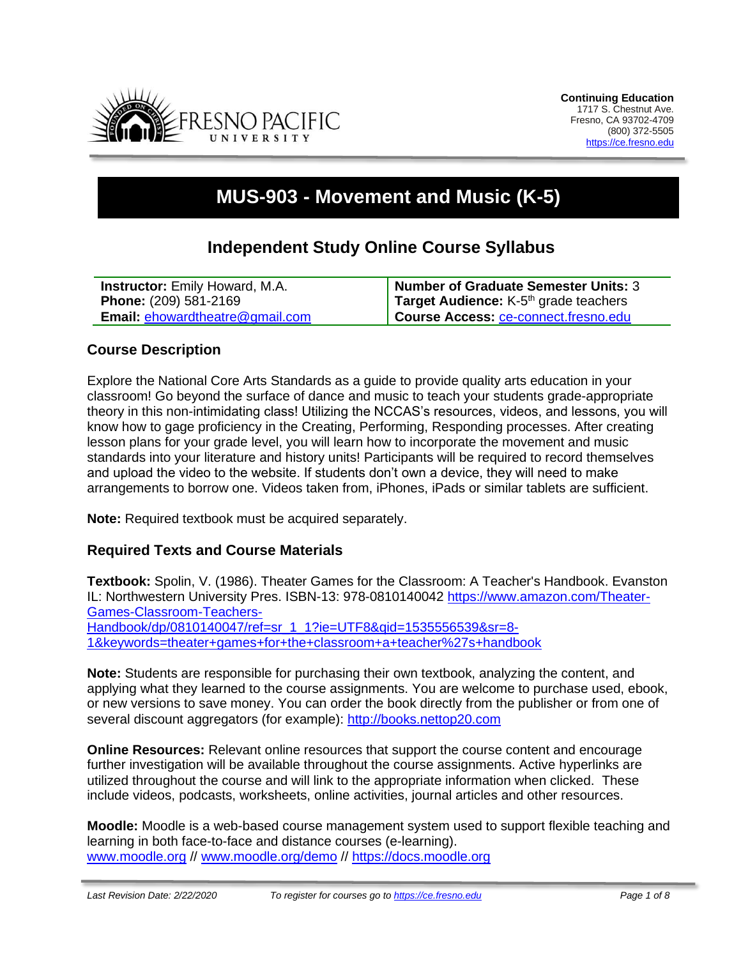

# **MUS-903 - Movement and Music (K-5)**

## **Independent Study Online Course Syllabus**

| <b>Instructor:</b> Emily Howard, M.A.  | Number of Graduate Semester Units: 3              |
|----------------------------------------|---------------------------------------------------|
| <b>Phone: (209) 581-2169</b>           | Target Audience: K-5 <sup>th</sup> grade teachers |
| <b>Email: ehowardtheatre@gmail.com</b> | Course Access: ce-connect.fresno.edu              |

#### **Course Description**

Explore the National Core Arts Standards as a guide to provide quality arts education in your classroom! Go beyond the surface of dance and music to teach your students grade-appropriate theory in this non-intimidating class! Utilizing the NCCAS's resources, videos, and lessons, you will know how to gage proficiency in the Creating, Performing, Responding processes. After creating lesson plans for your grade level, you will learn how to incorporate the movement and music standards into your literature and history units! Participants will be required to record themselves and upload the video to the website. If students don't own a device, they will need to make arrangements to borrow one. Videos taken from, iPhones, iPads or similar tablets are sufficient.

**Note:** Required textbook must be acquired separately.

#### **Required Texts and Course Materials**

**Textbook:** Spolin, V. (1986). Theater Games for the Classroom: A Teacher's Handbook. Evanston IL: Northwestern University Pres. ISBN-13: 978-0810140042 https://www.amazon.com/Theater-Games-Classroom-Teachers-Handbook/dp/0810140047/ref=sr\_1\_1?ie=UTF8&qid=1535556539&sr=8- 1&keywords=theater+games+for+the+classroom+a+teacher%27s+handbook

**Note:** Students are responsible for purchasing their own textbook, analyzing the content, and applying what they learned to the course assignments. You are welcome to purchase used, ebook, or new versions to save money. You can order the book directly from the publisher or from one of several discount aggregators (for example): [http://books.nettop20.com](http://books.nettop20.com/)

**Online Resources:** Relevant online resources that support the course content and encourage further investigation will be available throughout the course assignments. Active hyperlinks are utilized throughout the course and will link to the appropriate information when clicked. These include videos, podcasts, worksheets, online activities, journal articles and other resources.

**Moodle:** Moodle is a web-based course management system used to support flexible teaching and learning in both face-to-face and distance courses (e-learning). [www.moodle.org](http://www.moodle.org/) // [www.moodle.org/demo](http://www.moodle.org/demo) // [https://docs.moodle.org](https://docs.moodle.org/)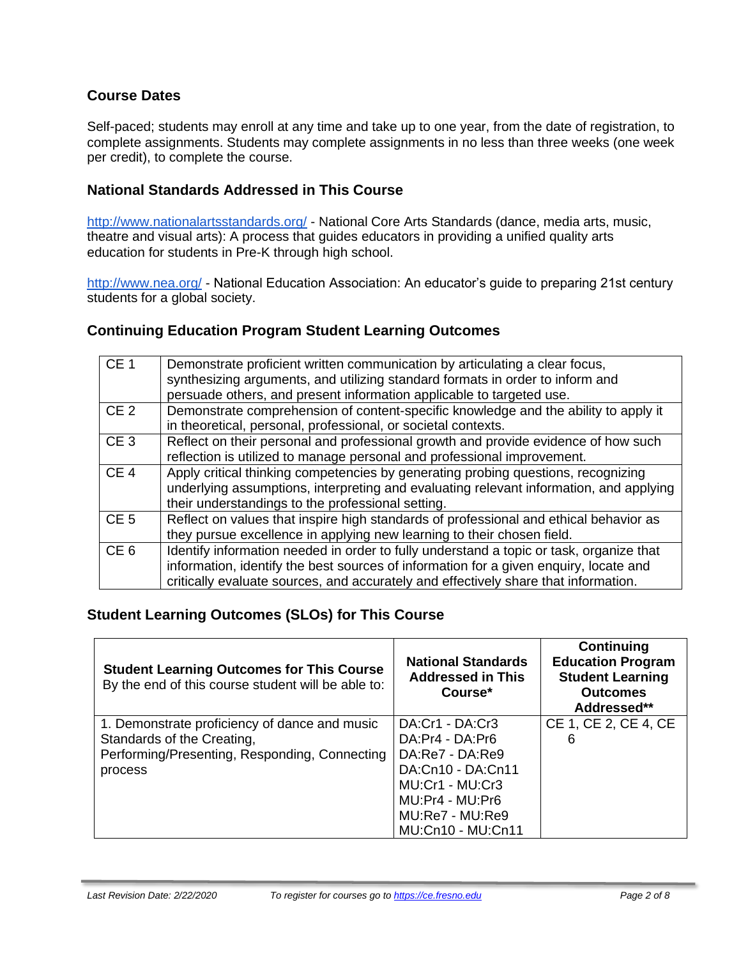## **Course Dates**

Self-paced; students may enroll at any time and take up to one year, from the date of registration, to complete assignments. Students may complete assignments in no less than three weeks (one week per credit), to complete the course.

#### **National Standards Addressed in This Course**

<http://www.nationalartsstandards.org/> - National Core Arts Standards (dance, media arts, music, theatre and visual arts): A process that guides educators in providing a unified quality arts education for students in Pre-K through high school.

<http://www.nea.org/> - National Education Association: An educator's guide to preparing 21st century students for a global society.

#### **Continuing Education Program Student Learning Outcomes**

| CE <sub>1</sub> | Demonstrate proficient written communication by articulating a clear focus,<br>synthesizing arguments, and utilizing standard formats in order to inform and<br>persuade others, and present information applicable to targeted use.                                    |
|-----------------|-------------------------------------------------------------------------------------------------------------------------------------------------------------------------------------------------------------------------------------------------------------------------|
| CE <sub>2</sub> | Demonstrate comprehension of content-specific knowledge and the ability to apply it<br>in theoretical, personal, professional, or societal contexts.                                                                                                                    |
| CE <sub>3</sub> | Reflect on their personal and professional growth and provide evidence of how such<br>reflection is utilized to manage personal and professional improvement.                                                                                                           |
| CE <sub>4</sub> | Apply critical thinking competencies by generating probing questions, recognizing<br>underlying assumptions, interpreting and evaluating relevant information, and applying<br>their understandings to the professional setting.                                        |
| CE <sub>5</sub> | Reflect on values that inspire high standards of professional and ethical behavior as<br>they pursue excellence in applying new learning to their chosen field.                                                                                                         |
| CE <sub>6</sub> | Identify information needed in order to fully understand a topic or task, organize that<br>information, identify the best sources of information for a given enquiry, locate and<br>critically evaluate sources, and accurately and effectively share that information. |

#### **Student Learning Outcomes (SLOs) for This Course**

| <b>Student Learning Outcomes for This Course</b><br>By the end of this course student will be able to: | <b>National Standards</b><br><b>Addressed in This</b><br>Course <sup>*</sup> | Continuing<br><b>Education Program</b><br><b>Student Learning</b><br><b>Outcomes</b><br>Addressed** |
|--------------------------------------------------------------------------------------------------------|------------------------------------------------------------------------------|-----------------------------------------------------------------------------------------------------|
| 1. Demonstrate proficiency of dance and music                                                          | DA:Cr1 - DA:Cr3                                                              | CE 1, CE 2, CE 4, CE                                                                                |
| Standards of the Creating,                                                                             | DA:Pr4 - DA:Pr6                                                              | 6                                                                                                   |
| Performing/Presenting, Responding, Connecting                                                          | DA:Re7 - DA:Re9                                                              |                                                                                                     |
| process                                                                                                | DA:Cn10 - DA:Cn11                                                            |                                                                                                     |
|                                                                                                        | MU:Cr1 - MU:Cr3                                                              |                                                                                                     |
|                                                                                                        | MU:Pr4 - MU:Pr6                                                              |                                                                                                     |
|                                                                                                        | MU:Re7 - MU:Re9                                                              |                                                                                                     |
|                                                                                                        | <b>MU:Cn10 - MU:Cn11</b>                                                     |                                                                                                     |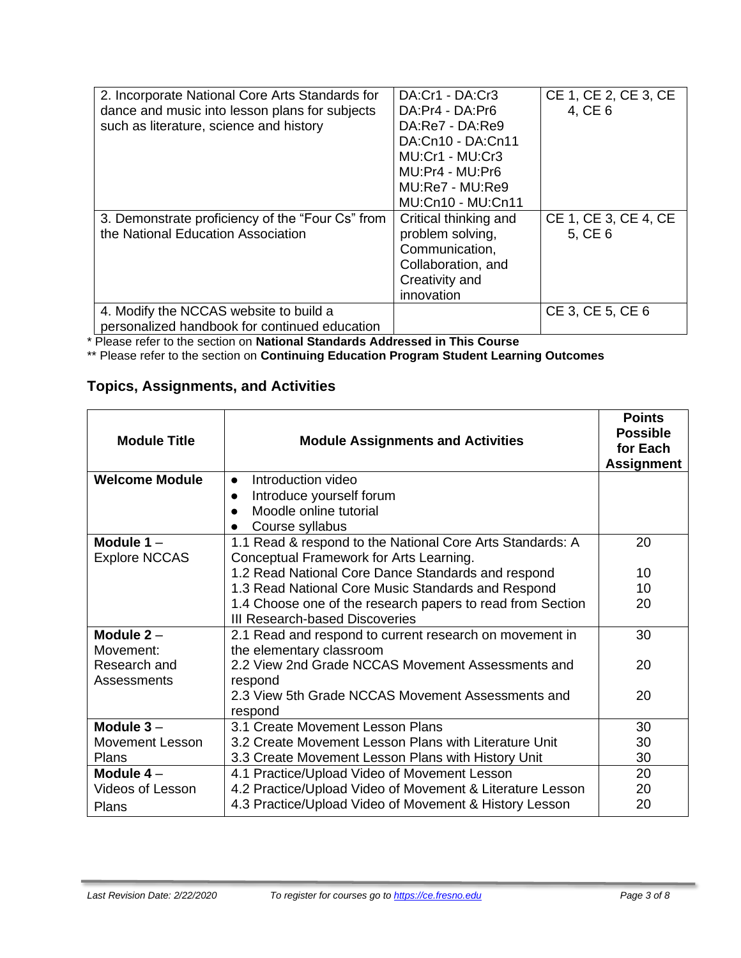| 2. Incorporate National Core Arts Standards for  | DA:Cr1 - DA:Cr3          | CE 1, CE 2, CE 3, CE |
|--------------------------------------------------|--------------------------|----------------------|
| dance and music into lesson plans for subjects   | DA:Pr4 - DA:Pr6          | 4, CE 6              |
| such as literature, science and history          | DA:Re7 - DA:Re9          |                      |
|                                                  | DA:Cn10 - DA:Cn11        |                      |
|                                                  | MU:Cr1 - MU:Cr3          |                      |
|                                                  | MU:Pr4 - MU:Pr6          |                      |
|                                                  | MU:Re7 - MU:Re9          |                      |
|                                                  | <b>MU:Cn10 - MU:Cn11</b> |                      |
| 3. Demonstrate proficiency of the "Four Cs" from | Critical thinking and    | CE 1, CE 3, CE 4, CE |
| the National Education Association               | problem solving,         | 5, CE 6              |
|                                                  | Communication,           |                      |
|                                                  | Collaboration, and       |                      |
|                                                  | Creativity and           |                      |
|                                                  | innovation               |                      |
| 4. Modify the NCCAS website to build a           |                          | CE 3, CE 5, CE 6     |
| personalized handbook for continued education    |                          |                      |

\* Please refer to the section on **National Standards Addressed in This Course**

\*\* Please refer to the section on **Continuing Education Program Student Learning Outcomes**

## **Topics, Assignments, and Activities**

| <b>Module Title</b>    | <b>Module Assignments and Activities</b>                   | <b>Points</b><br><b>Possible</b><br>for Each<br><b>Assignment</b> |
|------------------------|------------------------------------------------------------|-------------------------------------------------------------------|
| <b>Welcome Module</b>  | Introduction video<br>$\bullet$                            |                                                                   |
|                        | Introduce yourself forum                                   |                                                                   |
|                        | Moodle online tutorial<br>$\bullet$                        |                                                                   |
|                        | Course syllabus<br>$\bullet$                               |                                                                   |
| Module $1 -$           | 1.1 Read & respond to the National Core Arts Standards: A  | 20                                                                |
| <b>Explore NCCAS</b>   | Conceptual Framework for Arts Learning.                    |                                                                   |
|                        | 1.2 Read National Core Dance Standards and respond         | 10                                                                |
|                        | 1.3 Read National Core Music Standards and Respond         | 10                                                                |
|                        | 1.4 Choose one of the research papers to read from Section | 20                                                                |
|                        | III Research-based Discoveries                             |                                                                   |
| Module $2 -$           | 2.1 Read and respond to current research on movement in    | 30                                                                |
| Movement:              | the elementary classroom                                   |                                                                   |
| Research and           | 2.2 View 2nd Grade NCCAS Movement Assessments and          | 20                                                                |
| Assessments            | respond                                                    |                                                                   |
|                        | 2.3 View 5th Grade NCCAS Movement Assessments and          | 20                                                                |
|                        | respond                                                    |                                                                   |
| Module $3 -$           | 3.1 Create Movement Lesson Plans                           | 30                                                                |
| <b>Movement Lesson</b> | 3.2 Create Movement Lesson Plans with Literature Unit      | 30                                                                |
| Plans                  | 3.3 Create Movement Lesson Plans with History Unit         | 30                                                                |
| Module $4-$            | 4.1 Practice/Upload Video of Movement Lesson               | 20                                                                |
| Videos of Lesson       | 4.2 Practice/Upload Video of Movement & Literature Lesson  | 20                                                                |
| Plans                  | 4.3 Practice/Upload Video of Movement & History Lesson     | 20                                                                |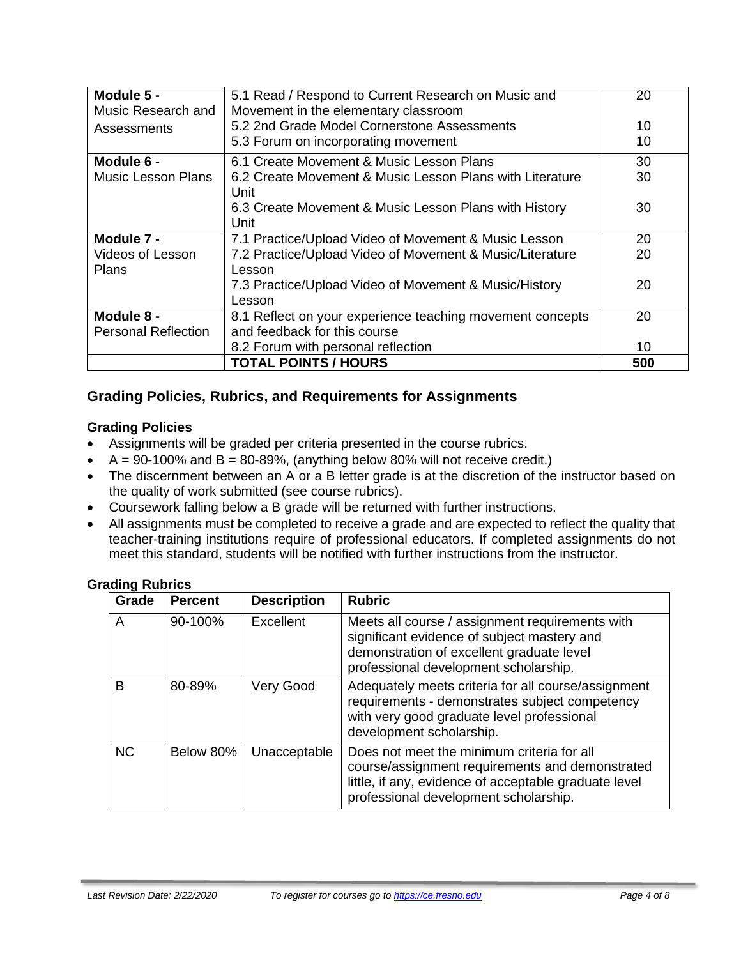| Module 5 -                 | 5.1 Read / Respond to Current Research on Music and       | 20  |
|----------------------------|-----------------------------------------------------------|-----|
| Music Research and         | Movement in the elementary classroom                      |     |
| Assessments                | 5.2 2nd Grade Model Cornerstone Assessments               | 10  |
|                            | 5.3 Forum on incorporating movement                       | 10  |
| Module 6 -                 | 6.1 Create Movement & Music Lesson Plans                  | 30  |
| <b>Music Lesson Plans</b>  | 6.2 Create Movement & Music Lesson Plans with Literature  | 30  |
|                            | Unit                                                      |     |
|                            | 6.3 Create Movement & Music Lesson Plans with History     | 30  |
|                            | Unit                                                      |     |
| Module 7 -                 | 7.1 Practice/Upload Video of Movement & Music Lesson      | 20  |
| Videos of Lesson           | 7.2 Practice/Upload Video of Movement & Music/Literature  | 20  |
| <b>Plans</b>               | Lesson                                                    |     |
|                            | 7.3 Practice/Upload Video of Movement & Music/History     | 20  |
|                            | Lesson                                                    |     |
| Module 8 -                 | 8.1 Reflect on your experience teaching movement concepts | 20  |
| <b>Personal Reflection</b> | and feedback for this course                              |     |
|                            | 8.2 Forum with personal reflection                        | 10  |
|                            | <b>TOTAL POINTS / HOURS</b>                               | 500 |

## **Grading Policies, Rubrics, and Requirements for Assignments**

#### **Grading Policies**

- Assignments will be graded per criteria presented in the course rubrics.
- $A = 90-100\%$  and  $B = 80-89\%$ , (anything below 80% will not receive credit.)
- The discernment between an A or a B letter grade is at the discretion of the instructor based on the quality of work submitted (see course rubrics).
- Coursework falling below a B grade will be returned with further instructions.
- All assignments must be completed to receive a grade and are expected to reflect the quality that teacher-training institutions require of professional educators. If completed assignments do not meet this standard, students will be notified with further instructions from the instructor.

#### **Grading Rubrics**

| Grade     | <b>Percent</b> | <b>Description</b> | <b>Rubric</b>                                                                                                                                                                                   |
|-----------|----------------|--------------------|-------------------------------------------------------------------------------------------------------------------------------------------------------------------------------------------------|
| A         | 90-100%        | Excellent          | Meets all course / assignment requirements with<br>significant evidence of subject mastery and<br>demonstration of excellent graduate level<br>professional development scholarship.            |
| B         | 80-89%         | Very Good          | Adequately meets criteria for all course/assignment<br>requirements - demonstrates subject competency<br>with very good graduate level professional<br>development scholarship.                 |
| <b>NC</b> | Below 80%      | Unacceptable       | Does not meet the minimum criteria for all<br>course/assignment requirements and demonstrated<br>little, if any, evidence of acceptable graduate level<br>professional development scholarship. |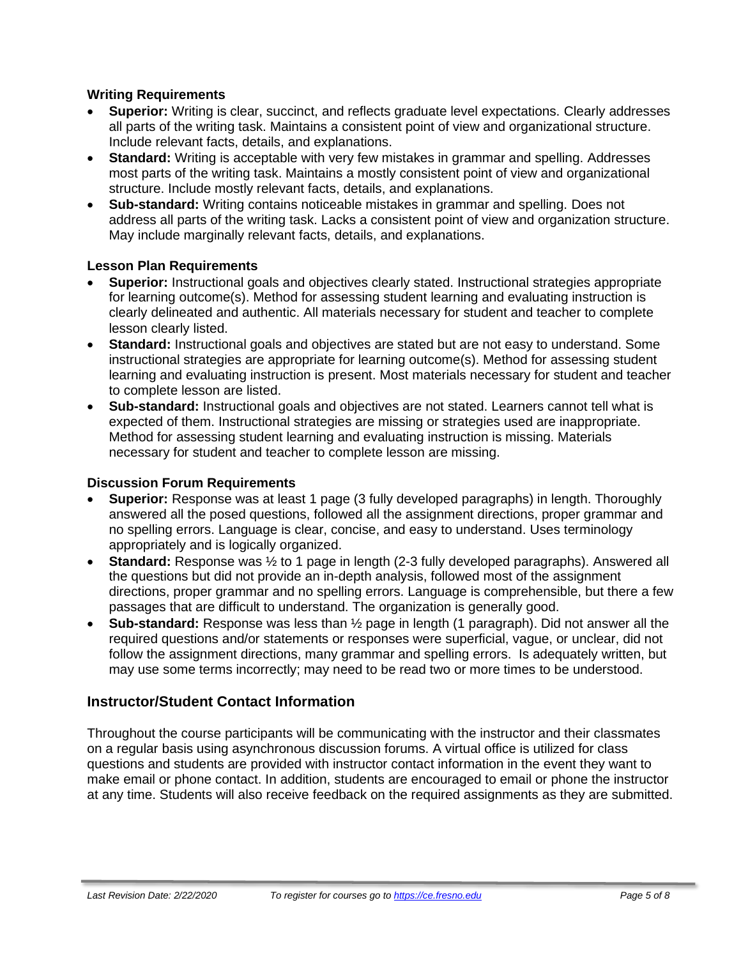#### **Writing Requirements**

- **Superior:** Writing is clear, succinct, and reflects graduate level expectations. Clearly addresses all parts of the writing task. Maintains a consistent point of view and organizational structure. Include relevant facts, details, and explanations.
- **Standard:** Writing is acceptable with very few mistakes in grammar and spelling. Addresses most parts of the writing task. Maintains a mostly consistent point of view and organizational structure. Include mostly relevant facts, details, and explanations.
- **Sub-standard:** Writing contains noticeable mistakes in grammar and spelling. Does not address all parts of the writing task. Lacks a consistent point of view and organization structure. May include marginally relevant facts, details, and explanations.

#### **Lesson Plan Requirements**

- **Superior:** Instructional goals and objectives clearly stated. Instructional strategies appropriate for learning outcome(s). Method for assessing student learning and evaluating instruction is clearly delineated and authentic. All materials necessary for student and teacher to complete lesson clearly listed.
- **Standard:** Instructional goals and objectives are stated but are not easy to understand. Some instructional strategies are appropriate for learning outcome(s). Method for assessing student learning and evaluating instruction is present. Most materials necessary for student and teacher to complete lesson are listed.
- **Sub-standard:** Instructional goals and objectives are not stated. Learners cannot tell what is expected of them. Instructional strategies are missing or strategies used are inappropriate. Method for assessing student learning and evaluating instruction is missing. Materials necessary for student and teacher to complete lesson are missing.

#### **Discussion Forum Requirements**

- **Superior:** Response was at least 1 page (3 fully developed paragraphs) in length. Thoroughly answered all the posed questions, followed all the assignment directions, proper grammar and no spelling errors. Language is clear, concise, and easy to understand. Uses terminology appropriately and is logically organized.
- **Standard:** Response was ½ to 1 page in length (2-3 fully developed paragraphs). Answered all the questions but did not provide an in-depth analysis, followed most of the assignment directions, proper grammar and no spelling errors. Language is comprehensible, but there a few passages that are difficult to understand. The organization is generally good.
- **Sub-standard:** Response was less than ½ page in length (1 paragraph). Did not answer all the required questions and/or statements or responses were superficial, vague, or unclear, did not follow the assignment directions, many grammar and spelling errors. Is adequately written, but may use some terms incorrectly; may need to be read two or more times to be understood.

## **Instructor/Student Contact Information**

Throughout the course participants will be communicating with the instructor and their classmates on a regular basis using asynchronous discussion forums. A virtual office is utilized for class questions and students are provided with instructor contact information in the event they want to make email or phone contact. In addition, students are encouraged to email or phone the instructor at any time. Students will also receive feedback on the required assignments as they are submitted.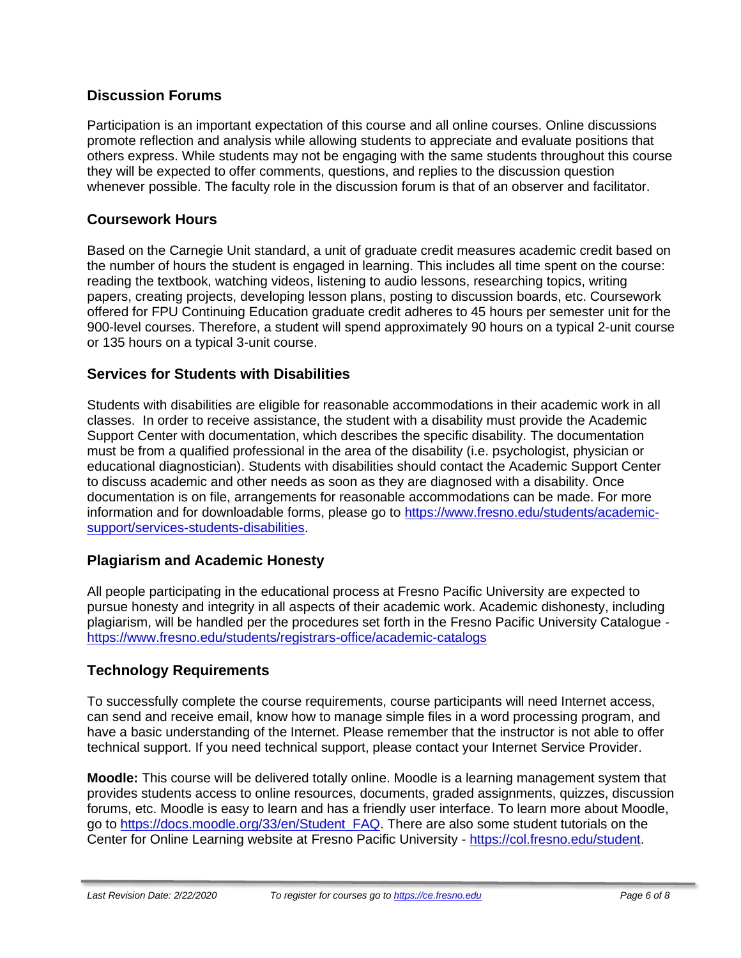## **Discussion Forums**

Participation is an important expectation of this course and all online courses. Online discussions promote reflection and analysis while allowing students to appreciate and evaluate positions that others express. While students may not be engaging with the same students throughout this course they will be expected to offer comments, questions, and replies to the discussion question whenever possible. The faculty role in the discussion forum is that of an observer and facilitator.

## **Coursework Hours**

Based on the Carnegie Unit standard, a unit of graduate credit measures academic credit based on the number of hours the student is engaged in learning. This includes all time spent on the course: reading the textbook, watching videos, listening to audio lessons, researching topics, writing papers, creating projects, developing lesson plans, posting to discussion boards, etc. Coursework offered for FPU Continuing Education graduate credit adheres to 45 hours per semester unit for the 900-level courses. Therefore, a student will spend approximately 90 hours on a typical 2-unit course or 135 hours on a typical 3-unit course.

## **Services for Students with Disabilities**

Students with disabilities are eligible for reasonable accommodations in their academic work in all classes. In order to receive assistance, the student with a disability must provide the Academic Support Center with documentation, which describes the specific disability. The documentation must be from a qualified professional in the area of the disability (i.e. psychologist, physician or educational diagnostician). Students with disabilities should contact the Academic Support Center to discuss academic and other needs as soon as they are diagnosed with a disability. Once documentation is on file, arrangements for reasonable accommodations can be made. For more information and for downloadable forms, please go to [https://www.fresno.edu/students/academic](https://www.fresno.edu/students/academic-support/services-students-disabilities)[support/services-students-disabilities.](https://www.fresno.edu/students/academic-support/services-students-disabilities)

## **Plagiarism and Academic Honesty**

All people participating in the educational process at Fresno Pacific University are expected to pursue honesty and integrity in all aspects of their academic work. Academic dishonesty, including plagiarism, will be handled per the procedures set forth in the Fresno Pacific University Catalogue <https://www.fresno.edu/students/registrars-office/academic-catalogs>

## **Technology Requirements**

To successfully complete the course requirements, course participants will need Internet access, can send and receive email, know how to manage simple files in a word processing program, and have a basic understanding of the Internet. Please remember that the instructor is not able to offer technical support. If you need technical support, please contact your Internet Service Provider.

**Moodle:** This course will be delivered totally online. Moodle is a learning management system that provides students access to online resources, documents, graded assignments, quizzes, discussion forums, etc. Moodle is easy to learn and has a friendly user interface. To learn more about Moodle, go to [https://docs.moodle.org/33/en/Student\\_FAQ.](https://docs.moodle.org/33/en/Student_FAQ) There are also some student tutorials on the Center for Online Learning website at Fresno Pacific University - [https://col.fresno.edu/student.](https://col.fresno.edu/student)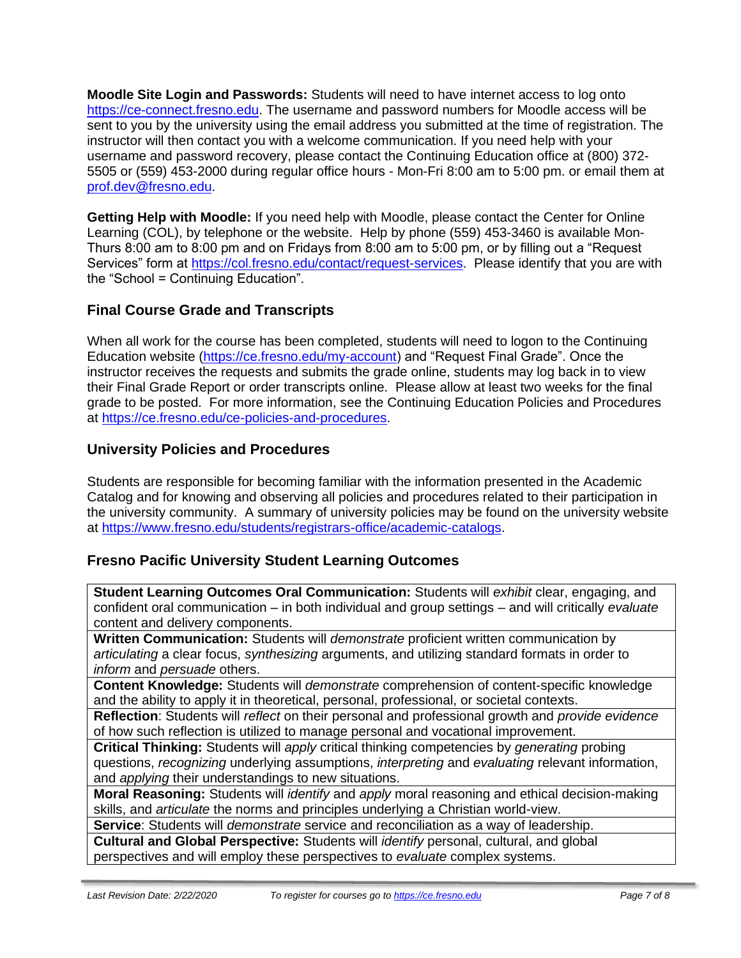**Moodle Site Login and Passwords:** Students will need to have internet access to log onto [https://ce-connect.fresno.edu.](https://ce-connect.fresno.edu/) The username and password numbers for Moodle access will be sent to you by the university using the email address you submitted at the time of registration. The instructor will then contact you with a welcome communication. If you need help with your username and password recovery, please contact the Continuing Education office at (800) 372- 5505 or (559) 453-2000 during regular office hours - Mon-Fri 8:00 am to 5:00 pm. or email them at [prof.dev@fresno.edu.](mailto:prof.dev@fresno.edu)

**Getting Help with Moodle:** If you need help with Moodle, please contact the Center for Online Learning (COL), by telephone or the website. Help by phone (559) 453-3460 is available Mon-Thurs 8:00 am to 8:00 pm and on Fridays from 8:00 am to 5:00 pm, or by filling out a "Request Services" form at [https://col.fresno.edu/contact/request-services.](https://col.fresno.edu/contact/request-services) Please identify that you are with the "School = Continuing Education".

## **Final Course Grade and Transcripts**

When all work for the course has been completed, students will need to logon to the Continuing Education website [\(https://ce.fresno.edu/my-account\)](https://ce.fresno.edu/my-account) and "Request Final Grade". Once the instructor receives the requests and submits the grade online, students may log back in to view their Final Grade Report or order transcripts online. Please allow at least two weeks for the final grade to be posted. For more information, see the Continuing Education Policies and Procedures at [https://ce.fresno.edu/ce-policies-and-procedures.](https://ce.fresno.edu/ce-policies-and-procedures)

## **University Policies and Procedures**

Students are responsible for becoming familiar with the information presented in the Academic Catalog and for knowing and observing all policies and procedures related to their participation in the university community. A summary of university policies may be found on the university website at [https://www.fresno.edu/students/registrars-office/academic-catalogs.](https://www.fresno.edu/students/registrars-office/academic-catalogs)

## **Fresno Pacific University Student Learning Outcomes**

**Student Learning Outcomes Oral Communication:** Students will *exhibit* clear, engaging, and confident oral communication – in both individual and group settings – and will critically *evaluate*  content and delivery components.

**Written Communication:** Students will *demonstrate* proficient written communication by *articulating* a clear focus, *synthesizing* arguments, and utilizing standard formats in order to *inform* and *persuade* others.

**Content Knowledge:** Students will *demonstrate* comprehension of content-specific knowledge and the ability to apply it in theoretical, personal, professional, or societal contexts.

**Reflection**: Students will *reflect* on their personal and professional growth and *provide evidence*  of how such reflection is utilized to manage personal and vocational improvement.

**Critical Thinking:** Students will *apply* critical thinking competencies by *generating* probing questions, *recognizing* underlying assumptions, *interpreting* and *evaluating* relevant information, and *applying* their understandings to new situations.

**Moral Reasoning:** Students will *identify* and *apply* moral reasoning and ethical decision-making skills, and *articulate* the norms and principles underlying a Christian world-view.

**Service**: Students will *demonstrate* service and reconciliation as a way of leadership.

**Cultural and Global Perspective:** Students will *identify* personal, cultural, and global perspectives and will employ these perspectives to *evaluate* complex systems.